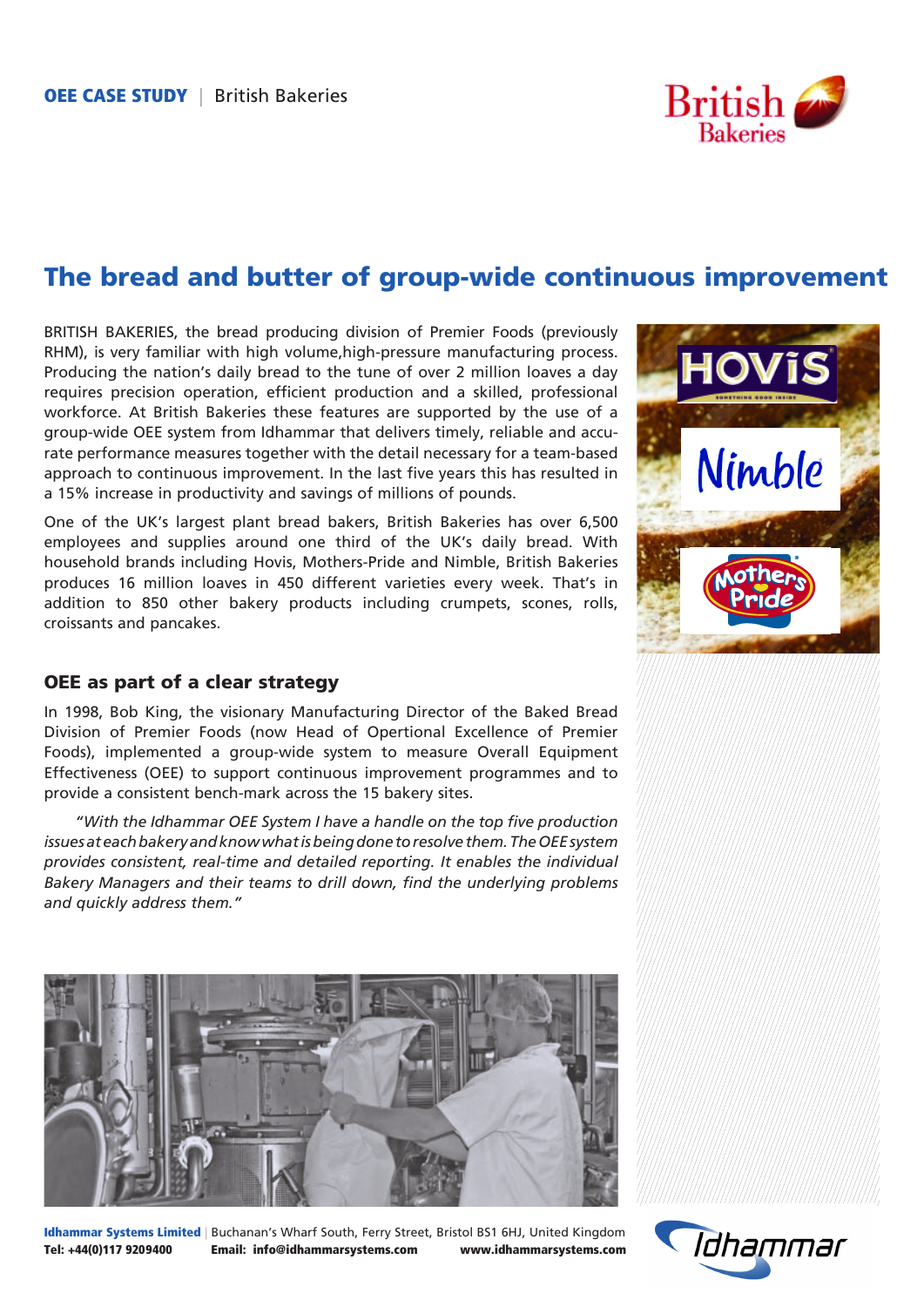

# The bread and butter of group-wide continuous improvement

BRITISH BAKERIES, the bread producing division of Premier Foods (previously RHM), is very familiar with high volume,high-pressure manufacturing process. Producing the nation's daily bread to the tune of over 2 million loaves a day requires precision operation, efficient production and a skilled, professional workforce. At British Bakeries these features are supported by the use of a group-wide OEE system from Idhammar that delivers timely, reliable and accurate performance measures together with the detail necessary for a team-based approach to continuous improvement. In the last five years this has resulted in a 15% increase in productivity and savings of millions of pounds.

One of the UK's largest plant bread bakers, British Bakeries has over 6,500 employees and supplies around one third of the UK's daily bread. With household brands including Hovis, Mothers-Pride and Nimble, British Bakeries produces 16 million loaves in 450 different varieties every week. That's in addition to 850 other bakery products including crumpets, scones, rolls, croissants and pancakes.

# OEE as part of a clear strategy

In 1998, Bob King, the visionary Manufacturing Director of the Baked Bread Division of Premier Foods (now Head of Opertional Excellence of Premier Foods), implemented a group-wide system to measure Overall Equipment Effectiveness (OEE) to support continuous improvement programmes and to provide a consistent bench-mark across the 15 bakery sites.

*"With the Idhammar OEE System I have a handle on the top five production issues at each bakery and know what is being done to resolve them. The OEE system provides consistent, real-time and detailed reporting. It enables the individual Bakery Managers and their teams to drill down, find the underlying problems and quickly address them."*



Idhammar Systems Limited | Buchanan's Wharf South, Ferry Street, Bristol BS1 6HJ, United Kingdom Tel: +44(0)117 9209400 Email: info@idhammarsystems.com www.idhammarsystems.com